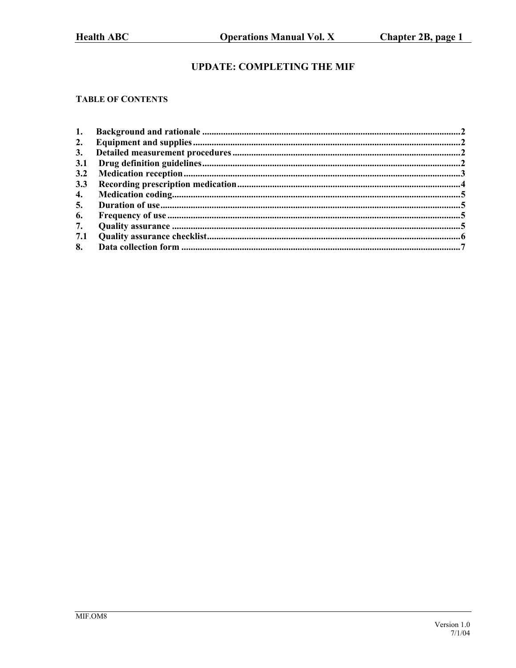# **UPDATE: COMPLETING THE MIF**

#### **TABLE OF CONTENTS**

| 2.  |  |
|-----|--|
| 3.  |  |
| 3.1 |  |
| 3.2 |  |
| 3.3 |  |
| 4.  |  |
| 5.  |  |
| 6.  |  |
| 7.  |  |
| 7.1 |  |
| 8.  |  |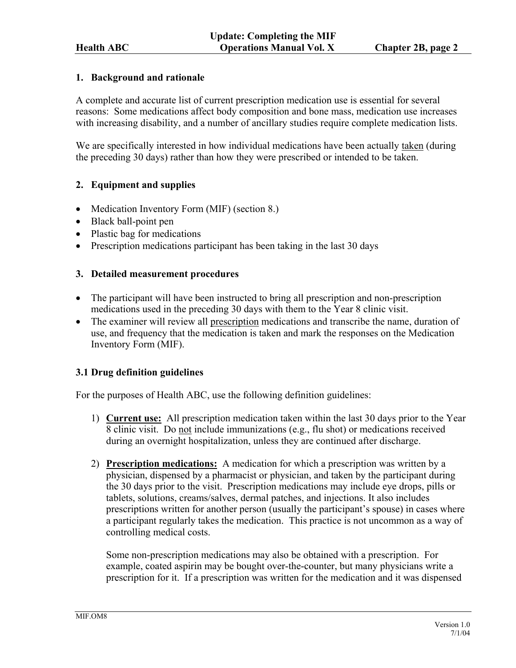## <span id="page-1-0"></span>**1. Background and rationale**

A complete and accurate list of current prescription medication use is essential for several reasons: Some medications affect body composition and bone mass, medication use increases with increasing disability, and a number of ancillary studies require complete medication lists.

We are specifically interested in how individual medications have been actually taken (during the preceding 30 days) rather than how they were prescribed or intended to be taken.

# **2. Equipment and supplies**

- Medication Inventory Form (MIF) (section 8.)
- Black ball-point pen
- Plastic bag for medications
- Prescription medications participant has been taking in the last 30 days

### **3. Detailed measurement procedures**

- The participant will have been instructed to bring all prescription and non-prescription medications used in the preceding 30 days with them to the Year 8 clinic visit.
- The examiner will review all prescription medications and transcribe the name, duration of use, and frequency that the medication is taken and mark the responses on the Medication Inventory Form (MIF).

#### **3.1 Drug definition guidelines**

For the purposes of Health ABC, use the following definition guidelines:

- 1) **Current use:** All prescription medication taken within the last 30 days prior to the Year 8 clinic visit. Do not include immunizations (e.g., flu shot) or medications received during an overnight hospitalization, unless they are continued after discharge.
- 2) **Prescription medications:** A medication for which a prescription was written by a physician, dispensed by a pharmacist or physician, and taken by the participant during the 30 days prior to the visit. Prescription medications may include eye drops, pills or tablets, solutions, creams/salves, dermal patches, and injections. It also includes prescriptions written for another person (usually the participant's spouse) in cases where a participant regularly takes the medication. This practice is not uncommon as a way of controlling medical costs.

Some non-prescription medications may also be obtained with a prescription. For example, coated aspirin may be bought over-the-counter, but many physicians write a prescription for it. If a prescription was written for the medication and it was dispensed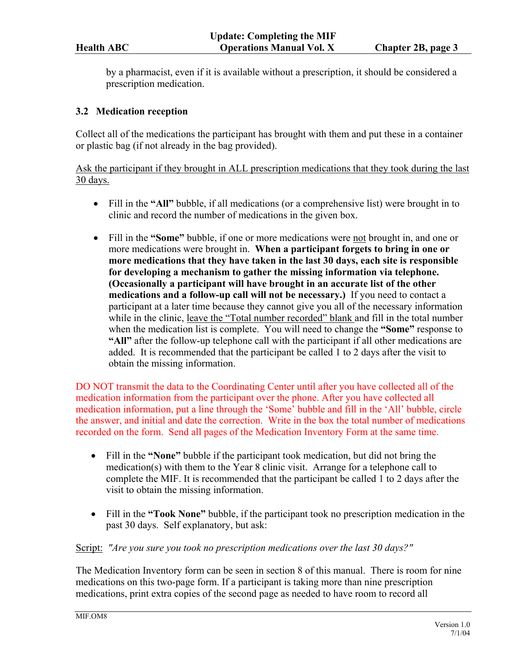<span id="page-2-0"></span>by a pharmacist, even if it is available without a prescription, it should be considered a prescription medication.

### **3.2 Medication reception**

Collect all of the medications the participant has brought with them and put these in a container or plastic bag (if not already in the bag provided).

Ask the participant if they brought in ALL prescription medications that they took during the last 30 days.

- Fill in the **"All"** bubble, if all medications (or a comprehensive list) were brought in to clinic and record the number of medications in the given box.
- Fill in the **"Some"** bubble, if one or more medications were not brought in, and one or more medications were brought in. **When a participant forgets to bring in one or more medications that they have taken in the last 30 days, each site is responsible for developing a mechanism to gather the missing information via telephone. (Occasionally a participant will have brought in an accurate list of the other medications and a follow-up call will not be necessary.)** If you need to contact a participant at a later time because they cannot give you all of the necessary information while in the clinic, leave the "Total number recorded" blank and fill in the total number when the medication list is complete. You will need to change the **"Some"** response to **"All"** after the follow-up telephone call with the participant if all other medications are added. It is recommended that the participant be called 1 to 2 days after the visit to obtain the missing information.

DO NOT transmit the data to the Coordinating Center until after you have collected all of the medication information from the participant over the phone. After you have collected all medication information, put a line through the 'Some' bubble and fill in the 'All' bubble, circle the answer, and initial and date the correction. Write in the box the total number of medications recorded on the form. Send all pages of the Medication Inventory Form at the same time.

- Fill in the **"None"** bubble if the participant took medication, but did not bring the medication(s) with them to the Year 8 clinic visit. Arrange for a telephone call to complete the MIF. It is recommended that the participant be called 1 to 2 days after the visit to obtain the missing information.
- Fill in the **"Took None"** bubble, if the participant took no prescription medication in the past 30 days. Self explanatory, but ask:

#### Script: *"Are you sure you took no prescription medications over the last 30 days?"*

The Medication Inventory form can be seen in section 8 of this manual. There is room for nine medications on this two-page form. If a participant is taking more than nine prescription medications, print extra copies of the second page as needed to have room to record all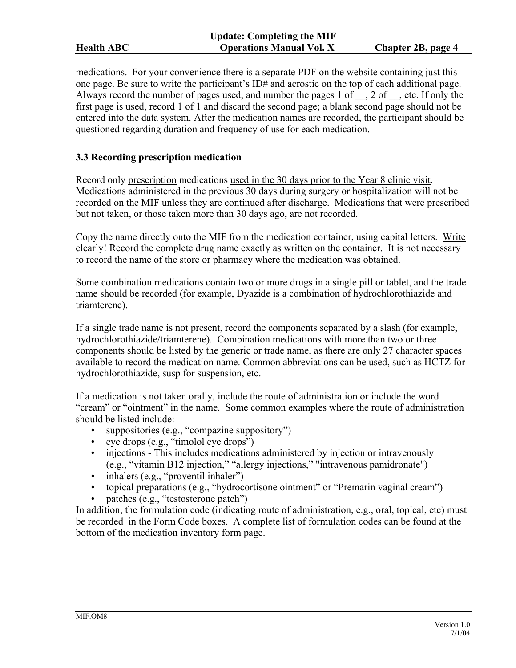<span id="page-3-0"></span>

| <b>Health ABC</b> | <b>Operations Manual Vol. X</b> | Chapter 2B, page 4 |
|-------------------|---------------------------------|--------------------|
|                   | Opuatt. Compituing the MIT      |                    |

**Update: Completing the MIF** 

medications. For your convenience there is a separate PDF on the website containing just this one page. Be sure to write the participant's ID# and acrostic on the top of each additional page. Always record the number of pages used, and number the pages 1 of  $\phantom{0}$ , 2 of  $\phantom{0}$ , etc. If only the first page is used, record 1 of 1 and discard the second page; a blank second page should not be entered into the data system. After the medication names are recorded, the participant should be questioned regarding duration and frequency of use for each medication.

### **3.3 Recording prescription medication**

Record only prescription medications used in the 30 days prior to the Year 8 clinic visit. Medications administered in the previous 30 days during surgery or hospitalization will not be recorded on the MIF unless they are continued after discharge. Medications that were prescribed but not taken, or those taken more than 30 days ago, are not recorded.

Copy the name directly onto the MIF from the medication container, using capital letters. Write clearly! Record the complete drug name exactly as written on the container. It is not necessary to record the name of the store or pharmacy where the medication was obtained.

Some combination medications contain two or more drugs in a single pill or tablet, and the trade name should be recorded (for example, Dyazide is a combination of hydrochlorothiazide and triamterene).

If a single trade name is not present, record the components separated by a slash (for example, hydrochlorothiazide/triamterene). Combination medications with more than two or three components should be listed by the generic or trade name, as there are only 27 character spaces available to record the medication name. Common abbreviations can be used, such as HCTZ for hydrochlorothiazide, susp for suspension, etc.

If a medication is not taken orally, include the route of administration or include the word "cream" or "ointment" in the name. Some common examples where the route of administration should be listed include:

- suppositories (e.g., "compazine suppository")
- eye drops (e.g., "timolol eye drops")
- injections This includes medications administered by injection or intravenously (e.g., "vitamin B12 injection," "allergy injections," "intravenous pamidronate")
- inhalers (e.g., "proventil inhaler")
- topical preparations (e.g., "hydrocortisone ointment" or "Premarin vaginal cream")
- patches (e.g., "testosterone patch")

In addition, the formulation code (indicating route of administration, e.g., oral, topical, etc) must be recorded in the Form Code boxes. A complete list of formulation codes can be found at the bottom of the medication inventory form page.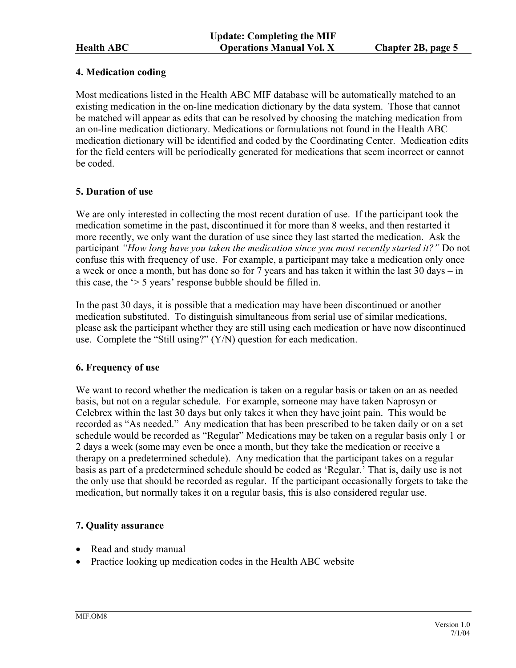# <span id="page-4-0"></span>**4. Medication coding**

Most medications listed in the Health ABC MIF database will be automatically matched to an existing medication in the on-line medication dictionary by the data system. Those that cannot be matched will appear as edits that can be resolved by choosing the matching medication from an on-line medication dictionary. Medications or formulations not found in the Health ABC medication dictionary will be identified and coded by the Coordinating Center. Medication edits for the field centers will be periodically generated for medications that seem incorrect or cannot be coded.

### **5. Duration of use**

We are only interested in collecting the most recent duration of use. If the participant took the medication sometime in the past, discontinued it for more than 8 weeks, and then restarted it more recently, we only want the duration of use since they last started the medication. Ask the participant *"How long have you taken the medication since you most recently started it?"* Do not confuse this with frequency of use. For example, a participant may take a medication only once a week or once a month, but has done so for 7 years and has taken it within the last 30 days – in this case, the '> 5 years' response bubble should be filled in.

In the past 30 days, it is possible that a medication may have been discontinued or another medication substituted. To distinguish simultaneous from serial use of similar medications, please ask the participant whether they are still using each medication or have now discontinued use. Complete the "Still using?" (Y/N) question for each medication.

#### **6. Frequency of use**

We want to record whether the medication is taken on a regular basis or taken on an as needed basis, but not on a regular schedule. For example, someone may have taken Naprosyn or Celebrex within the last 30 days but only takes it when they have joint pain. This would be recorded as "As needed." Any medication that has been prescribed to be taken daily or on a set schedule would be recorded as "Regular" Medications may be taken on a regular basis only 1 or 2 days a week (some may even be once a month, but they take the medication or receive a therapy on a predetermined schedule). Any medication that the participant takes on a regular basis as part of a predetermined schedule should be coded as 'Regular.' That is, daily use is not the only use that should be recorded as regular. If the participant occasionally forgets to take the medication, but normally takes it on a regular basis, this is also considered regular use.

# **7. Quality assurance**

- Read and study manual
- Practice looking up medication codes in the Health ABC website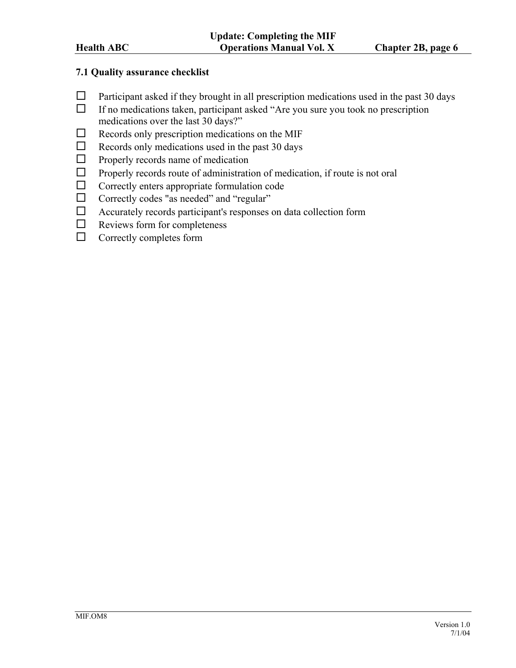# <span id="page-5-0"></span>**7.1 Quality assurance checklist**

- $\Box$  Participant asked if they brought in all prescription medications used in the past 30 days
- $\Box$  If no medications taken, participant asked "Are you sure you took no prescription" medications over the last 30 days?"
- $\Box$  Records only prescription medications on the MIF
- $\Box$  Records only medications used in the past 30 days
- $\Box$  Properly records name of medication
- $\Box$ Properly records route of administration of medication, if route is not oral
- $\Box$ Correctly enters appropriate formulation code
- $\Box$  Correctly codes "as needed" and "regular"
- $\Box$  Accurately records participant's responses on data collection form
- $\Box$  Reviews form for completeness
- $\Box$  Correctly completes form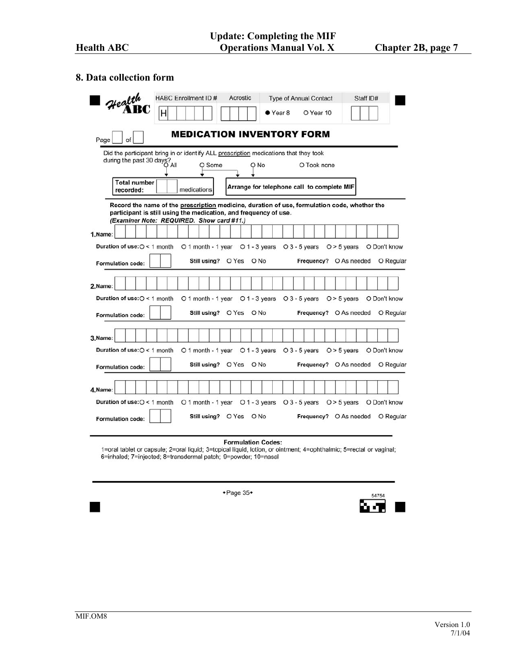# <span id="page-6-0"></span>**8. Data collection form**

| Health                                                                                                                                                                                                        | HABC Enrollment ID #                                                                                                                                                                 | Acrostic                                       | <b>Type of Annual Contact</b>              | Staff ID#    |  |  |  |
|---------------------------------------------------------------------------------------------------------------------------------------------------------------------------------------------------------------|--------------------------------------------------------------------------------------------------------------------------------------------------------------------------------------|------------------------------------------------|--------------------------------------------|--------------|--|--|--|
|                                                                                                                                                                                                               | н                                                                                                                                                                                    | $\bullet$ Year 8                               | O Year 10                                  |              |  |  |  |
| of<br>Page                                                                                                                                                                                                    |                                                                                                                                                                                      | <b>MEDICATION INVENTORY FORM</b>               |                                            |              |  |  |  |
| during the past 30 days?                                                                                                                                                                                      | Did the participant bring in or identify ALL prescription medications that they took<br>) All<br>O Some                                                                              | O No                                           | O Took none                                |              |  |  |  |
| <b>Total number</b><br>recorded:                                                                                                                                                                              | medications                                                                                                                                                                          |                                                | Arrange for telephone call to complete MIF |              |  |  |  |
| Record the name of the prescription medicine, duration of use, formulation code, whether the<br>participant is still using the medication, and frequency of use.<br>(Examiner Note: REQUIRED. Show card #11.) |                                                                                                                                                                                      |                                                |                                            |              |  |  |  |
| 1.Name:                                                                                                                                                                                                       |                                                                                                                                                                                      |                                                |                                            |              |  |  |  |
| Duration of use: $O < 1$ month                                                                                                                                                                                |                                                                                                                                                                                      | O 1 month - 1 year O 1 - 3 years O 3 - 5 years | $O > 5$ years                              | O Don't know |  |  |  |
| <b>Formulation code:</b>                                                                                                                                                                                      | Still using? O Yes                                                                                                                                                                   | O No                                           | Frequency? O As needed                     | O Regular    |  |  |  |
| 2.Name:                                                                                                                                                                                                       |                                                                                                                                                                                      |                                                |                                            |              |  |  |  |
| Duration of use: $O < 1$ month                                                                                                                                                                                |                                                                                                                                                                                      | O 1 month - 1 year O 1 - 3 years O 3 - 5 years | $O > 5$ years                              | O Don't know |  |  |  |
| <b>Formulation code:</b>                                                                                                                                                                                      | Still using? O Yes                                                                                                                                                                   | O No                                           | Frequency? O As needed                     | O Regular    |  |  |  |
| 3.Name:                                                                                                                                                                                                       |                                                                                                                                                                                      |                                                |                                            |              |  |  |  |
| Duration of use: $O < 1$ month                                                                                                                                                                                |                                                                                                                                                                                      | O 1 month - 1 year O 1 - 3 years O 3 - 5 years | $O > 5$ years                              | O Don't know |  |  |  |
| <b>Formulation code:</b>                                                                                                                                                                                      | Still using? O Yes                                                                                                                                                                   | O No                                           | Frequency? O As needed                     | O Regular    |  |  |  |
| 4.Name:                                                                                                                                                                                                       |                                                                                                                                                                                      |                                                |                                            |              |  |  |  |
| Duration of use: $O < 1$ month<br>O 1 month - 1 year O 1 - 3 years O 3 - 5 years<br>$O > 5$ years<br>O Don't know                                                                                             |                                                                                                                                                                                      |                                                |                                            |              |  |  |  |
| <b>Formulation code:</b>                                                                                                                                                                                      |                                                                                                                                                                                      | Still using? O Yes O No                        | Frequency? O As needed                     | O Regular    |  |  |  |
|                                                                                                                                                                                                               | 1=oral tablet or capsule; 2=oral liquid; 3=topical liquid, lotion, or ointment; 4=ophthalmic; 5=rectal or vaginal;<br>6=inhaled; 7=injected; 8=transdermal patch; 9=powder; 10=nasal | <b>Formulation Codes:</b>                      |                                            |              |  |  |  |

 $\bullet$  Page 35 $\bullet$ 



■